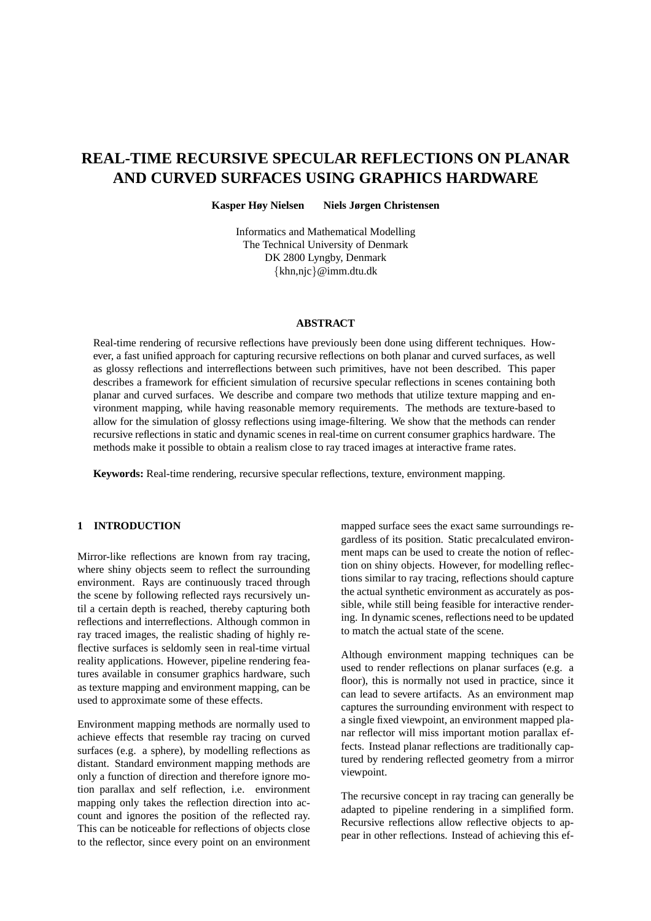# **REAL-TIME RECURSIVE SPECULAR REFLECTIONS ON PLANAR AND CURVED SURFACES USING GRAPHICS HARDWARE**

**Kasper Høy Nielsen Niels Jørgen Christensen**

Informatics and Mathematical Modelling The Technical University of Denmark DK 2800 Lyngby, Denmark {khn,njc}@imm.dtu.dk

#### **ABSTRACT**

Real-time rendering of recursive reflections have previously been done using different techniques. However, a fast unified approach for capturing recursive reflections on both planar and curved surfaces, as well as glossy reflections and interreflections between such primitives, have not been described. This paper describes a framework for efficient simulation of recursive specular reflections in scenes containing both planar and curved surfaces. We describe and compare two methods that utilize texture mapping and environment mapping, while having reasonable memory requirements. The methods are texture-based to allow for the simulation of glossy reflections using image-filtering. We show that the methods can render recursive reflections in static and dynamic scenes in real-time on current consumer graphics hardware. The methods make it possible to obtain a realism close to ray traced images at interactive frame rates.

**Keywords:** Real-time rendering, recursive specular reflections, texture, environment mapping.

# **1 INTRODUCTION**

Mirror-like reflections are known from ray tracing, where shiny objects seem to reflect the surrounding environment. Rays are continuously traced through the scene by following reflected rays recursively until a certain depth is reached, thereby capturing both reflections and interreflections. Although common in ray traced images, the realistic shading of highly reflective surfaces is seldomly seen in real-time virtual reality applications. However, pipeline rendering features available in consumer graphics hardware, such as texture mapping and environment mapping, can be used to approximate some of these effects.

Environment mapping methods are normally used to achieve effects that resemble ray tracing on curved surfaces (e.g. a sphere), by modelling reflections as distant. Standard environment mapping methods are only a function of direction and therefore ignore motion parallax and self reflection, i.e. environment mapping only takes the reflection direction into account and ignores the position of the reflected ray. This can be noticeable for reflections of objects close to the reflector, since every point on an environment mapped surface sees the exact same surroundings regardless of its position. Static precalculated environment maps can be used to create the notion of reflection on shiny objects. However, for modelling reflections similar to ray tracing, reflections should capture the actual synthetic environment as accurately as possible, while still being feasible for interactive rendering. In dynamic scenes, reflections need to be updated to match the actual state of the scene.

Although environment mapping techniques can be used to render reflections on planar surfaces (e.g. a floor), this is normally not used in practice, since it can lead to severe artifacts. As an environment map captures the surrounding environment with respect to a single fixed viewpoint, an environment mapped planar reflector will miss important motion parallax effects. Instead planar reflections are traditionally captured by rendering reflected geometry from a mirror viewpoint.

The recursive concept in ray tracing can generally be adapted to pipeline rendering in a simplified form. Recursive reflections allow reflective objects to appear in other reflections. Instead of achieving this ef-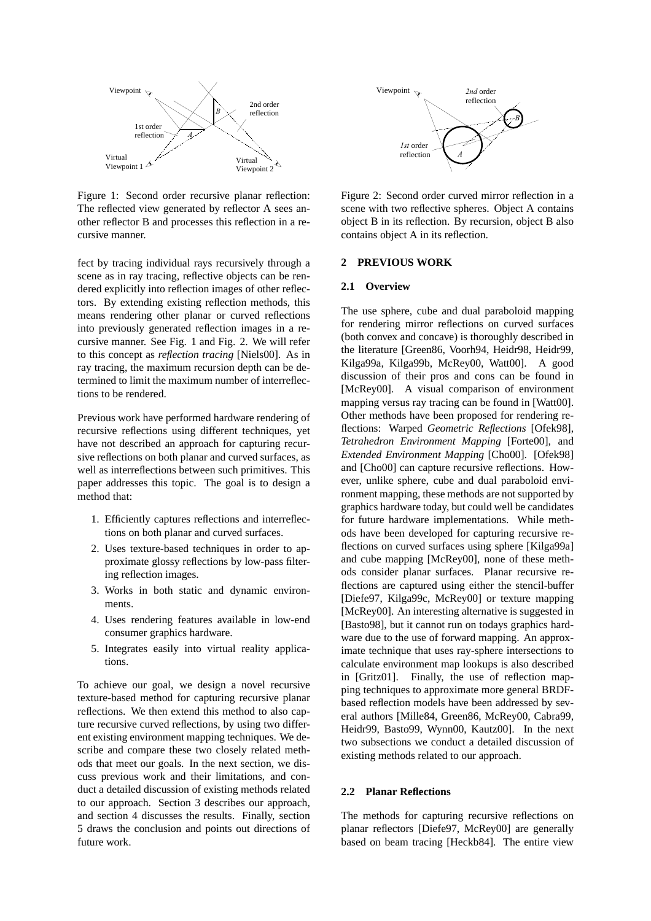

Figure 1: Second order recursive planar reflection: The reflected view generated by reflector A sees another reflector B and processes this reflection in a recursive manner.

fect by tracing individual rays recursively through a scene as in ray tracing, reflective objects can be rendered explicitly into reflection images of other reflectors. By extending existing reflection methods, this means rendering other planar or curved reflections into previously generated reflection images in a recursive manner. See Fig. 1 and Fig. 2. We will refer to this concept as *reflection tracing* [Niels00]. As in ray tracing, the maximum recursion depth can be determined to limit the maximum number of interreflections to be rendered.

Previous work have performed hardware rendering of recursive reflections using different techniques, yet have not described an approach for capturing recursive reflections on both planar and curved surfaces, as well as interreflections between such primitives. This paper addresses this topic. The goal is to design a method that:

- 1. Efficiently captures reflections and interreflections on both planar and curved surfaces.
- 2. Uses texture-based techniques in order to approximate glossy reflections by low-pass filtering reflection images.
- 3. Works in both static and dynamic environments.
- 4. Uses rendering features available in low-end consumer graphics hardware.
- 5. Integrates easily into virtual reality applications.

To achieve our goal, we design a novel recursive texture-based method for capturing recursive planar reflections. We then extend this method to also capture recursive curved reflections, by using two different existing environment mapping techniques. We describe and compare these two closely related methods that meet our goals. In the next section, we discuss previous work and their limitations, and conduct a detailed discussion of existing methods related to our approach. Section 3 describes our approach, and section 4 discusses the results. Finally, section 5 draws the conclusion and points out directions of future work.



Figure 2: Second order curved mirror reflection in a scene with two reflective spheres. Object A contains object B in its reflection. By recursion, object B also contains object A in its reflection.

## **2 PREVIOUS WORK**

#### **2.1 Overview**

The use sphere, cube and dual paraboloid mapping for rendering mirror reflections on curved surfaces (both convex and concave) is thoroughly described in the literature [Green86, Voorh94, Heidr98, Heidr99, Kilga99a, Kilga99b, McRey00, Watt00]. A good discussion of their pros and cons can be found in [McRey00]. A visual comparison of environment mapping versus ray tracing can be found in [Watt00]. Other methods have been proposed for rendering reflections: Warped *Geometric Reflections* [Ofek98], *Tetrahedron Environment Mapping* [Forte00], and *Extended Environment Mapping* [Cho00]. [Ofek98] and [Cho00] can capture recursive reflections. However, unlike sphere, cube and dual paraboloid environment mapping, these methods are not supported by graphics hardware today, but could well be candidates for future hardware implementations. While methods have been developed for capturing recursive reflections on curved surfaces using sphere [Kilga99a] and cube mapping [McRey00], none of these methods consider planar surfaces. Planar recursive reflections are captured using either the stencil-buffer [Diefe97, Kilga99c, McRey00] or texture mapping [McRey00]. An interesting alternative is suggested in [Basto98], but it cannot run on todays graphics hardware due to the use of forward mapping. An approximate technique that uses ray-sphere intersections to calculate environment map lookups is also described in [Gritz01]. Finally, the use of reflection mapping techniques to approximate more general BRDFbased reflection models have been addressed by several authors [Mille84, Green86, McRey00, Cabra99, Heidr99, Basto99, Wynn00, Kautz00]. In the next two subsections we conduct a detailed discussion of existing methods related to our approach.

#### **2.2 Planar Reflections**

The methods for capturing recursive reflections on planar reflectors [Diefe97, McRey00] are generally based on beam tracing [Heckb84]. The entire view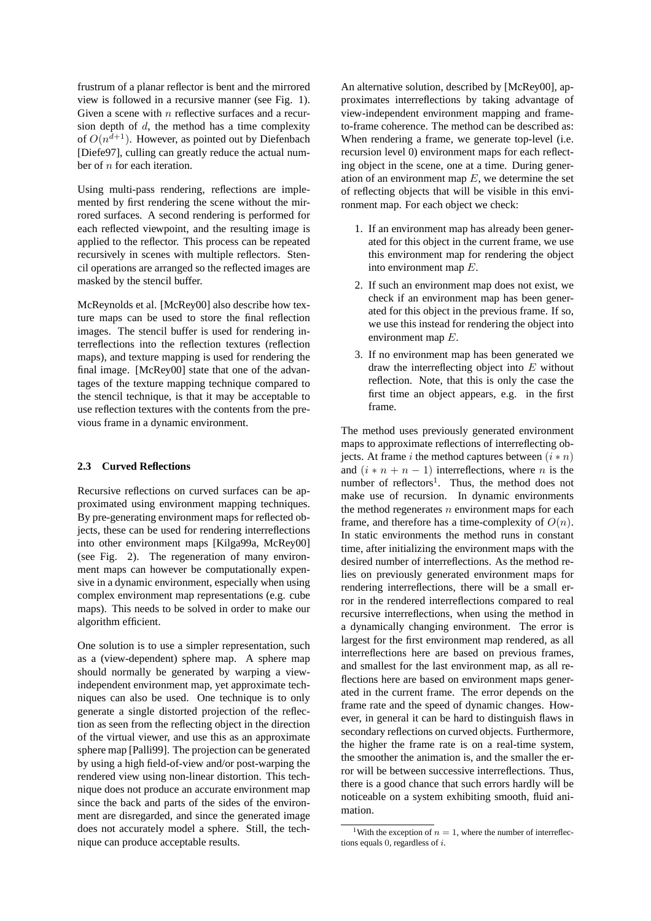frustrum of a planar reflector is bent and the mirrored view is followed in a recursive manner (see Fig. 1). Given a scene with  $n$  reflective surfaces and a recursion depth of  $d$ , the method has a time complexity of  $O(n^{\tilde{d}+1})$ . However, as pointed out by Diefenbach [Diefe97], culling can greatly reduce the actual number of  $n$  for each iteration.

Using multi-pass rendering, reflections are implemented by first rendering the scene without the mirrored surfaces. A second rendering is performed for each reflected viewpoint, and the resulting image is applied to the reflector. This process can be repeated recursively in scenes with multiple reflectors. Stencil operations are arranged so the reflected images are masked by the stencil buffer.

McReynolds et al. [McRey00] also describe how texture maps can be used to store the final reflection images. The stencil buffer is used for rendering interreflections into the reflection textures (reflection maps), and texture mapping is used for rendering the final image. [McRey00] state that one of the advantages of the texture mapping technique compared to the stencil technique, is that it may be acceptable to use reflection textures with the contents from the previous frame in a dynamic environment.

#### **2.3 Curved Reflections**

Recursive reflections on curved surfaces can be approximated using environment mapping techniques. By pre-generating environment maps for reflected objects, these can be used for rendering interreflections into other environment maps [Kilga99a, McRey00] (see Fig. 2). The regeneration of many environment maps can however be computationally expensive in a dynamic environment, especially when using complex environment map representations (e.g. cube maps). This needs to be solved in order to make our algorithm efficient.

One solution is to use a simpler representation, such as a (view-dependent) sphere map. A sphere map should normally be generated by warping a viewindependent environment map, yet approximate techniques can also be used. One technique is to only generate a single distorted projection of the reflection as seen from the reflecting object in the direction of the virtual viewer, and use this as an approximate sphere map [Palli99]. The projection can be generated by using a high field-of-view and/or post-warping the rendered view using non-linear distortion. This technique does not produce an accurate environment map since the back and parts of the sides of the environment are disregarded, and since the generated image does not accurately model a sphere. Still, the technique can produce acceptable results.

An alternative solution, described by [McRey00], approximates interreflections by taking advantage of view-independent environment mapping and frameto-frame coherence. The method can be described as: When rendering a frame, we generate top-level (i.e. recursion level 0) environment maps for each reflecting object in the scene, one at a time. During generation of an environment map  $E$ , we determine the set of reflecting objects that will be visible in this environment map. For each object we check:

- 1. If an environment map has already been generated for this object in the current frame, we use this environment map for rendering the object into environment map E.
- 2. If such an environment map does not exist, we check if an environment map has been generated for this object in the previous frame. If so, we use this instead for rendering the object into environment map E.
- 3. If no environment map has been generated we draw the interreflecting object into E without reflection. Note, that this is only the case the first time an object appears, e.g. in the first frame.

The method uses previously generated environment maps to approximate reflections of interreflecting objects. At frame i the method captures between  $(i * n)$ and  $(i * n + n - 1)$  interreflections, where *n* is the number of reflectors<sup>1</sup>. Thus, the method does not make use of recursion. In dynamic environments the method regenerates  $n$  environment maps for each frame, and therefore has a time-complexity of  $O(n)$ . In static environments the method runs in constant time, after initializing the environment maps with the desired number of interreflections. As the method relies on previously generated environment maps for rendering interreflections, there will be a small error in the rendered interreflections compared to real recursive interreflections, when using the method in a dynamically changing environment. The error is largest for the first environment map rendered, as all interreflections here are based on previous frames, and smallest for the last environment map, as all reflections here are based on environment maps generated in the current frame. The error depends on the frame rate and the speed of dynamic changes. However, in general it can be hard to distinguish flaws in secondary reflections on curved objects. Furthermore, the higher the frame rate is on a real-time system, the smoother the animation is, and the smaller the error will be between successive interreflections. Thus, there is a good chance that such errors hardly will be noticeable on a system exhibiting smooth, fluid animation.

<sup>&</sup>lt;sup>1</sup>With the exception of  $n = 1$ , where the number of interreflections equals 0, regardless of i.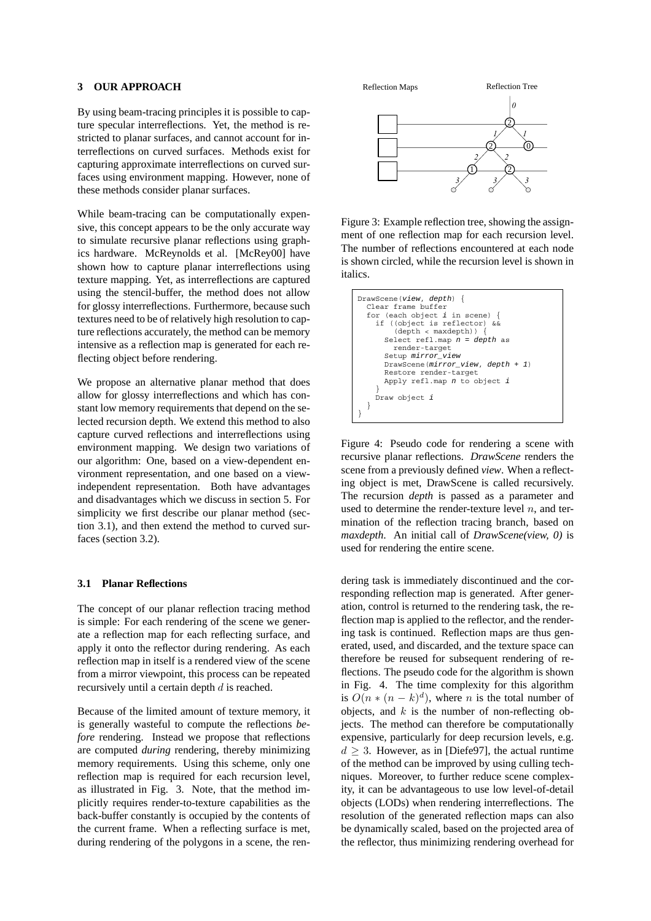#### **3 OUR APPROACH**

By using beam-tracing principles it is possible to capture specular interreflections. Yet, the method is restricted to planar surfaces, and cannot account for interreflections on curved surfaces. Methods exist for capturing approximate interreflections on curved surfaces using environment mapping. However, none of these methods consider planar surfaces.

While beam-tracing can be computationally expensive, this concept appears to be the only accurate way to simulate recursive planar reflections using graphics hardware. McReynolds et al. [McRey00] have shown how to capture planar interreflections using texture mapping. Yet, as interreflections are captured using the stencil-buffer, the method does not allow for glossy interreflections. Furthermore, because such textures need to be of relatively high resolution to capture reflections accurately, the method can be memory intensive as a reflection map is generated for each reflecting object before rendering.

We propose an alternative planar method that does allow for glossy interreflections and which has constant low memory requirements that depend on the selected recursion depth. We extend this method to also capture curved reflections and interreflections using environment mapping. We design two variations of our algorithm: One, based on a view-dependent environment representation, and one based on a viewindependent representation. Both have advantages and disadvantages which we discuss in section 5. For simplicity we first describe our planar method (section 3.1), and then extend the method to curved surfaces (section 3.2).

## **3.1 Planar Reflections**

The concept of our planar reflection tracing method is simple: For each rendering of the scene we generate a reflection map for each reflecting surface, and apply it onto the reflector during rendering. As each reflection map in itself is a rendered view of the scene from a mirror viewpoint, this process can be repeated recursively until a certain depth d is reached.

Because of the limited amount of texture memory, it is generally wasteful to compute the reflections *before* rendering. Instead we propose that reflections are computed *during* rendering, thereby minimizing memory requirements. Using this scheme, only one reflection map is required for each recursion level, as illustrated in Fig. 3. Note, that the method implicitly requires render-to-texture capabilities as the back-buffer constantly is occupied by the contents of the current frame. When a reflecting surface is met, during rendering of the polygons in a scene, the ren-



Figure 3: Example reflection tree, showing the assignment of one reflection map for each recursion level. The number of reflections encountered at each node is shown circled, while the recursion level is shown in italics.

```
DrawScene(view, depth) { 
    Clear frame buffer 
   for (each object i in scene) { 
 if ((object is reflector) &&
 (depth < maxdepth)) { 
         Select refl.map n = depth as 
           render-target 
         Setup mirror_view
         DrawScene(mirror_view, depth + 1)
         Restore render-target
         Apply refl.map n to object i
\left\{\begin{array}{ccc} \end{array}\right\} Draw object i
   } 
}
```
Figure 4: Pseudo code for rendering a scene with recursive planar reflections. *DrawScene* renders the scene from a previously defined *view*. When a reflecting object is met, DrawScene is called recursively. The recursion *depth* is passed as a parameter and used to determine the render-texture level  $n$ , and termination of the reflection tracing branch, based on *maxdepth*. An initial call of *DrawScene(view, 0)* is used for rendering the entire scene.

dering task is immediately discontinued and the corresponding reflection map is generated. After generation, control is returned to the rendering task, the reflection map is applied to the reflector, and the rendering task is continued. Reflection maps are thus generated, used, and discarded, and the texture space can therefore be reused for subsequent rendering of reflections. The pseudo code for the algorithm is shown in Fig. 4. The time complexity for this algorithm is  $O(n * (n - k)^d)$ , where *n* is the total number of objects, and  $k$  is the number of non-reflecting objects. The method can therefore be computationally expensive, particularly for deep recursion levels, e.g.  $d > 3$ . However, as in [Diefe97], the actual runtime of the method can be improved by using culling techniques. Moreover, to further reduce scene complexity, it can be advantageous to use low level-of-detail objects (LODs) when rendering interreflections. The resolution of the generated reflection maps can also be dynamically scaled, based on the projected area of the reflector, thus minimizing rendering overhead for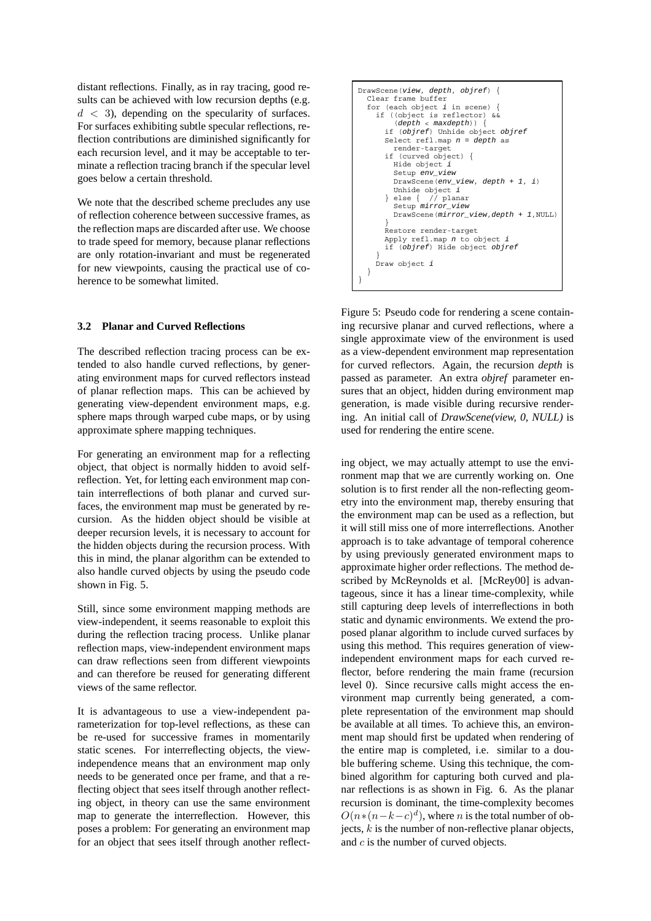distant reflections. Finally, as in ray tracing, good results can be achieved with low recursion depths (e.g.  $d \, <\, 3$ ), depending on the specularity of surfaces. For surfaces exhibiting subtle specular reflections, reflection contributions are diminished significantly for each recursion level, and it may be acceptable to terminate a reflection tracing branch if the specular level goes below a certain threshold.

We note that the described scheme precludes any use of reflection coherence between successive frames, as the reflection maps are discarded after use. We choose to trade speed for memory, because planar reflections are only rotation-invariant and must be regenerated for new viewpoints, causing the practical use of coherence to be somewhat limited.

## **3.2 Planar and Curved Reflections**

The described reflection tracing process can be extended to also handle curved reflections, by generating environment maps for curved reflectors instead of planar reflection maps. This can be achieved by generating view-dependent environment maps, e.g. sphere maps through warped cube maps, or by using approximate sphere mapping techniques.

For generating an environment map for a reflecting object, that object is normally hidden to avoid selfreflection. Yet, for letting each environment map contain interreflections of both planar and curved surfaces, the environment map must be generated by recursion. As the hidden object should be visible at deeper recursion levels, it is necessary to account for the hidden objects during the recursion process. With this in mind, the planar algorithm can be extended to also handle curved objects by using the pseudo code shown in Fig. 5.

Still, since some environment mapping methods are view-independent, it seems reasonable to exploit this during the reflection tracing process. Unlike planar reflection maps, view-independent environment maps can draw reflections seen from different viewpoints and can therefore be reused for generating different views of the same reflector.

It is advantageous to use a view-independent parameterization for top-level reflections, as these can be re-used for successive frames in momentarily static scenes. For interreflecting objects, the viewindependence means that an environment map only needs to be generated once per frame, and that a reflecting object that sees itself through another reflecting object, in theory can use the same environment map to generate the interreflection. However, this poses a problem: For generating an environment map for an object that sees itself through another reflect-

```
DrawScene(view, depth, objref) { 
   Clear frame buffer 
   for (each object i in scene) { 
     if ((object is reflector) && 
          (depth < maxdepth)) { 
        if (objref) Unhide object objref
       Select refl.map n = depth as
          render-target 
        if (curved object) { 
          Hide object i
          Setup env_view
          DrawScene(env_view, depth + 1, i)
       Unhide object i<br>} else { // plana
        else \{\n/ / \nplanar
          Setup mirror_view
          DrawScene(mirror_view,depth + 1,NULL)
\rightarrow Restore render-target
       Apply refl.map n to object i
       if (objref) Hide object objref
\rightarrow Draw object i
   } 
}
```
Figure 5: Pseudo code for rendering a scene containing recursive planar and curved reflections, where a single approximate view of the environment is used as a view-dependent environment map representation for curved reflectors. Again, the recursion *depth* is passed as parameter. An extra *objref* parameter ensures that an object, hidden during environment map generation, is made visible during recursive rendering. An initial call of *DrawScene(view, 0, NULL)* is used for rendering the entire scene.

ing object, we may actually attempt to use the environment map that we are currently working on. One solution is to first render all the non-reflecting geometry into the environment map, thereby ensuring that the environment map can be used as a reflection, but it will still miss one of more interreflections. Another approach is to take advantage of temporal coherence by using previously generated environment maps to approximate higher order reflections. The method described by McReynolds et al. [McRey00] is advantageous, since it has a linear time-complexity, while still capturing deep levels of interreflections in both static and dynamic environments. We extend the proposed planar algorithm to include curved surfaces by using this method. This requires generation of viewindependent environment maps for each curved reflector, before rendering the main frame (recursion level 0). Since recursive calls might access the environment map currently being generated, a complete representation of the environment map should be available at all times. To achieve this, an environment map should first be updated when rendering of the entire map is completed, i.e. similar to a double buffering scheme. Using this technique, the combined algorithm for capturing both curved and planar reflections is as shown in Fig. 6. As the planar recursion is dominant, the time-complexity becomes  $O(n*(n-k-c)^d)$ , where *n* is the total number of objects,  $k$  is the number of non-reflective planar objects, and c is the number of curved objects.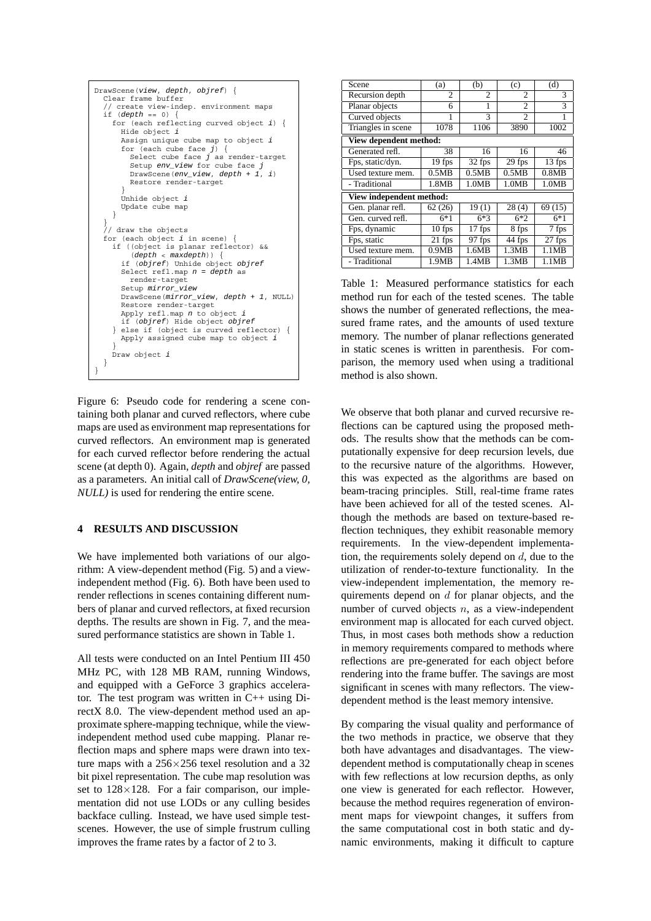

Figure 6: Pseudo code for rendering a scene containing both planar and curved reflectors, where cube maps are used as environment map representations for curved reflectors. An environment map is generated for each curved reflector before rendering the actual scene (at depth 0). Again, *depth* and *objref* are passed as a parameters. An initial call of *DrawScene(view, 0, NULL)* is used for rendering the entire scene.

## **4 RESULTS AND DISCUSSION**

We have implemented both variations of our algorithm: A view-dependent method (Fig. 5) and a viewindependent method (Fig. 6). Both have been used to render reflections in scenes containing different numbers of planar and curved reflectors, at fixed recursion depths. The results are shown in Fig. 7, and the measured performance statistics are shown in Table 1.

All tests were conducted on an Intel Pentium III 450 MHz PC, with 128 MB RAM, running Windows, and equipped with a GeForce 3 graphics accelerator. The test program was written in C++ using DirectX 8.0. The view-dependent method used an approximate sphere-mapping technique, while the viewindependent method used cube mapping. Planar reflection maps and sphere maps were drawn into texture maps with a 256×256 texel resolution and a 32 bit pixel representation. The cube map resolution was set to  $128 \times 128$ . For a fair comparison, our implementation did not use LODs or any culling besides backface culling. Instead, we have used simple testscenes. However, the use of simple frustrum culling improves the frame rates by a factor of 2 to 3.

| Scene                    | (a)      | (b)            | (c)            | (d)    |
|--------------------------|----------|----------------|----------------|--------|
| Recursion depth          | 2        | $\overline{c}$ | $\overline{c}$ | 3      |
| Planar objects           | 6        |                | $\overline{2}$ | 3      |
| Curved objects           |          | 3              | $\mathfrak{D}$ |        |
| Triangles in scene       | 1078     | 1106           | 3890           | 1002   |
| View dependent method:   |          |                |                |        |
| Generated refl.          | 38       | 16             | 16             | 46     |
| Fps, static/dyn.         | 19 fps   | 32 fps         | 29 fps         | 13 fps |
| Used texture mem.        | 0.5MB    | 0.5MB          | 0.5MB          | 0.8MB  |
| - Traditional            | 1.8MB    | 1.0MB          | 1.0MB          | 1.0MB  |
| View independent method: |          |                |                |        |
| Gen. planar refl.        | 62(26)   | 19(1)          | 28(4)          | 69(15) |
| Gen. curved refl.        | $6*1$    | $6*3$          | $6*2$          | $6*1$  |
| Fps, dynamic             | $10$ fps | $17$ fps       | 8 fps          | 7 fps  |
| Fps, static              | $21$ fps | 97 fps         | 44 fps         | 27 fps |
| Used texture mem.        | 0.9MB    | 1.6MB          | 1.3MB          | 1.1MB  |
| - Traditional            | 1.9MB    | 1.4MB          | 1.3MB          | 1.1MB  |

Table 1: Measured performance statistics for each method run for each of the tested scenes. The table shows the number of generated reflections, the measured frame rates, and the amounts of used texture memory. The number of planar reflections generated in static scenes is written in parenthesis. For comparison, the memory used when using a traditional method is also shown.

We observe that both planar and curved recursive reflections can be captured using the proposed methods. The results show that the methods can be computationally expensive for deep recursion levels, due to the recursive nature of the algorithms. However, this was expected as the algorithms are based on beam-tracing principles. Still, real-time frame rates have been achieved for all of the tested scenes. Although the methods are based on texture-based reflection techniques, they exhibit reasonable memory requirements. In the view-dependent implementation, the requirements solely depend on  $d$ , due to the utilization of render-to-texture functionality. In the view-independent implementation, the memory requirements depend on  $d$  for planar objects, and the number of curved objects  $n$ , as a view-independent environment map is allocated for each curved object. Thus, in most cases both methods show a reduction in memory requirements compared to methods where reflections are pre-generated for each object before rendering into the frame buffer. The savings are most significant in scenes with many reflectors. The viewdependent method is the least memory intensive.

By comparing the visual quality and performance of the two methods in practice, we observe that they both have advantages and disadvantages. The viewdependent method is computationally cheap in scenes with few reflections at low recursion depths, as only one view is generated for each reflector. However, because the method requires regeneration of environment maps for viewpoint changes, it suffers from the same computational cost in both static and dynamic environments, making it difficult to capture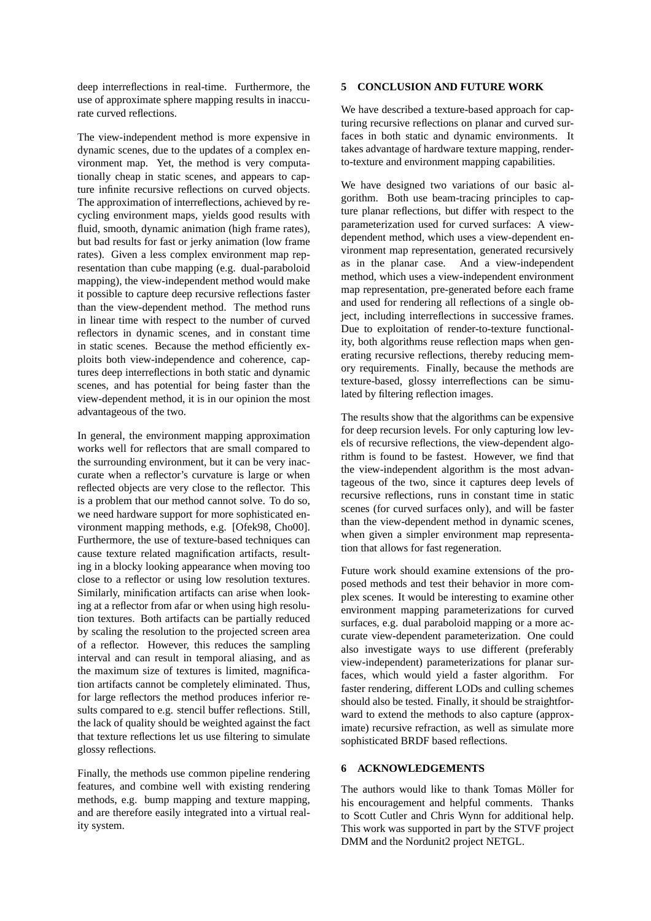deep interreflections in real-time. Furthermore, the use of approximate sphere mapping results in inaccurate curved reflections.

The view-independent method is more expensive in dynamic scenes, due to the updates of a complex environment map. Yet, the method is very computationally cheap in static scenes, and appears to capture infinite recursive reflections on curved objects. The approximation of interreflections, achieved by recycling environment maps, yields good results with fluid, smooth, dynamic animation (high frame rates), but bad results for fast or jerky animation (low frame rates). Given a less complex environment map representation than cube mapping (e.g. dual-paraboloid mapping), the view-independent method would make it possible to capture deep recursive reflections faster than the view-dependent method. The method runs in linear time with respect to the number of curved reflectors in dynamic scenes, and in constant time in static scenes. Because the method efficiently exploits both view-independence and coherence, captures deep interreflections in both static and dynamic scenes, and has potential for being faster than the view-dependent method, it is in our opinion the most advantageous of the two.

In general, the environment mapping approximation works well for reflectors that are small compared to the surrounding environment, but it can be very inaccurate when a reflector's curvature is large or when reflected objects are very close to the reflector. This is a problem that our method cannot solve. To do so, we need hardware support for more sophisticated environment mapping methods, e.g. [Ofek98, Cho00]. Furthermore, the use of texture-based techniques can cause texture related magnification artifacts, resulting in a blocky looking appearance when moving too close to a reflector or using low resolution textures. Similarly, minification artifacts can arise when looking at a reflector from afar or when using high resolution textures. Both artifacts can be partially reduced by scaling the resolution to the projected screen area of a reflector. However, this reduces the sampling interval and can result in temporal aliasing, and as the maximum size of textures is limited, magnification artifacts cannot be completely eliminated. Thus, for large reflectors the method produces inferior results compared to e.g. stencil buffer reflections. Still, the lack of quality should be weighted against the fact that texture reflections let us use filtering to simulate glossy reflections.

Finally, the methods use common pipeline rendering features, and combine well with existing rendering methods, e.g. bump mapping and texture mapping, and are therefore easily integrated into a virtual reality system.

## **5 CONCLUSION AND FUTURE WORK**

We have described a texture-based approach for capturing recursive reflections on planar and curved surfaces in both static and dynamic environments. It takes advantage of hardware texture mapping, renderto-texture and environment mapping capabilities.

We have designed two variations of our basic algorithm. Both use beam-tracing principles to capture planar reflections, but differ with respect to the parameterization used for curved surfaces: A viewdependent method, which uses a view-dependent environment map representation, generated recursively as in the planar case. And a view-independent method, which uses a view-independent environment map representation, pre-generated before each frame and used for rendering all reflections of a single object, including interreflections in successive frames. Due to exploitation of render-to-texture functionality, both algorithms reuse reflection maps when generating recursive reflections, thereby reducing memory requirements. Finally, because the methods are texture-based, glossy interreflections can be simulated by filtering reflection images.

The results show that the algorithms can be expensive for deep recursion levels. For only capturing low levels of recursive reflections, the view-dependent algorithm is found to be fastest. However, we find that the view-independent algorithm is the most advantageous of the two, since it captures deep levels of recursive reflections, runs in constant time in static scenes (for curved surfaces only), and will be faster than the view-dependent method in dynamic scenes, when given a simpler environment map representation that allows for fast regeneration.

Future work should examine extensions of the proposed methods and test their behavior in more complex scenes. It would be interesting to examine other environment mapping parameterizations for curved surfaces, e.g. dual paraboloid mapping or a more accurate view-dependent parameterization. One could also investigate ways to use different (preferably view-independent) parameterizations for planar surfaces, which would yield a faster algorithm. For faster rendering, different LODs and culling schemes should also be tested. Finally, it should be straightforward to extend the methods to also capture (approximate) recursive refraction, as well as simulate more sophisticated BRDF based reflections.

## **6 ACKNOWLEDGEMENTS**

The authors would like to thank Tomas Möller for his encouragement and helpful comments. Thanks to Scott Cutler and Chris Wynn for additional help. This work was supported in part by the STVF project DMM and the Nordunit2 project NETGL.